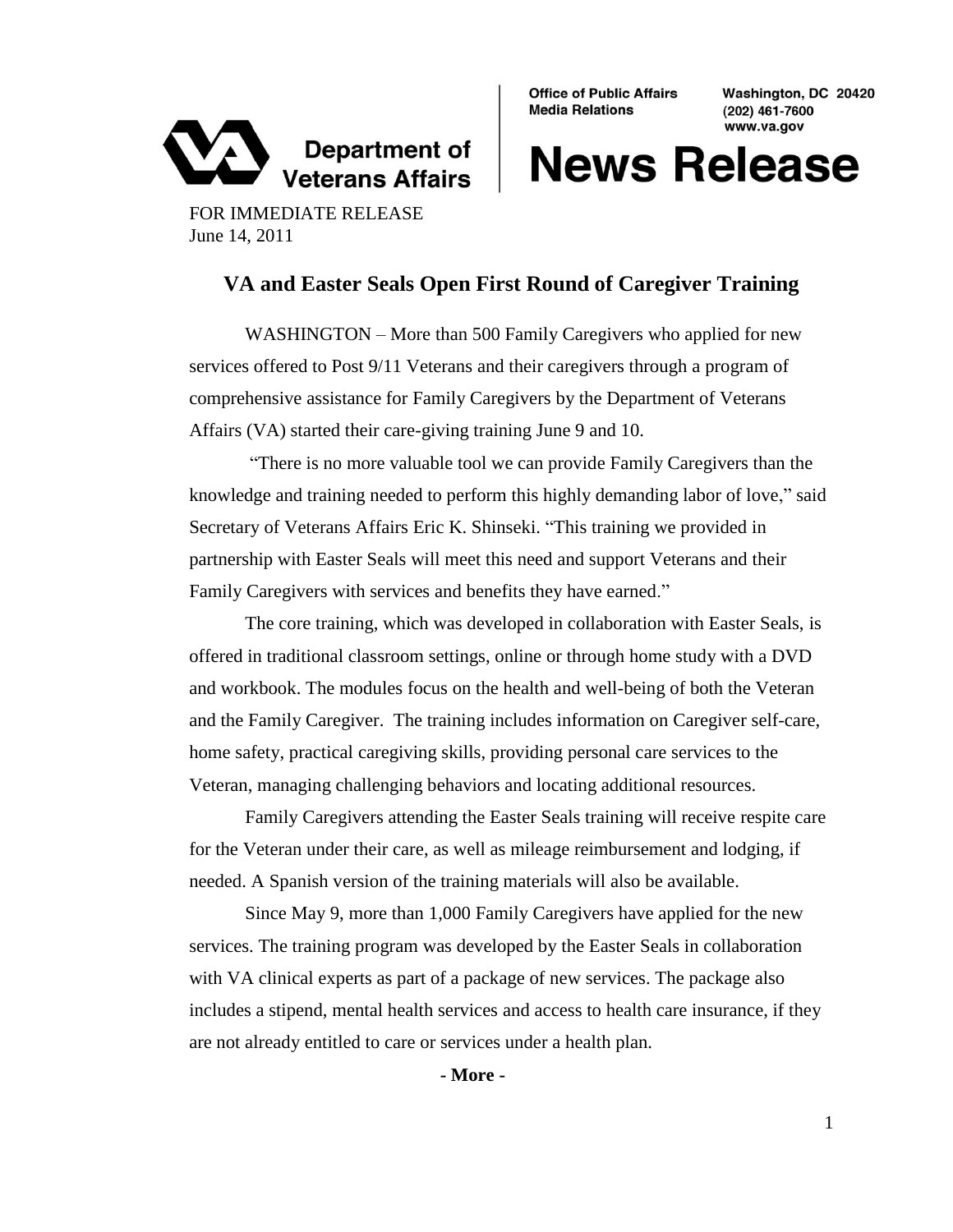

**Office of Public Affairs Media Relations** 

Washington, DC 20420 (202) 461-7600 www.va.gov

## **News Release**

FOR IMMEDIATE RELEASE June 14, 2011

## **VA and Easter Seals Open First Round of Caregiver Training**

WASHINGTON – More than 500 Family Caregivers who applied for new services offered to Post 9/11 Veterans and their caregivers through a program of comprehensive assistance for Family Caregivers by the Department of Veterans Affairs (VA) started their care-giving training June 9 and 10.

"There is no more valuable tool we can provide Family Caregivers than the knowledge and training needed to perform this highly demanding labor of love," said Secretary of Veterans Affairs Eric K. Shinseki. "This training we provided in partnership with Easter Seals will meet this need and support Veterans and their Family Caregivers with services and benefits they have earned."

The core training, which was developed in collaboration with Easter Seals, is offered in traditional classroom settings, online or through home study with a DVD and workbook. The modules focus on the health and well-being of both the Veteran and the Family Caregiver. The training includes information on Caregiver self-care, home safety, practical caregiving skills, providing personal care services to the Veteran, managing challenging behaviors and locating additional resources.

Family Caregivers attending the Easter Seals training will receive respite care for the Veteran under their care, as well as mileage reimbursement and lodging, if needed. A Spanish version of the training materials will also be available.

Since May 9, more than 1,000 Family Caregivers have applied for the new services. The training program was developed by the Easter Seals in collaboration with VA clinical experts as part of a package of new services. The package also includes a stipend, mental health services and access to health care insurance, if they are not already entitled to care or services under a health plan.

**- More -**